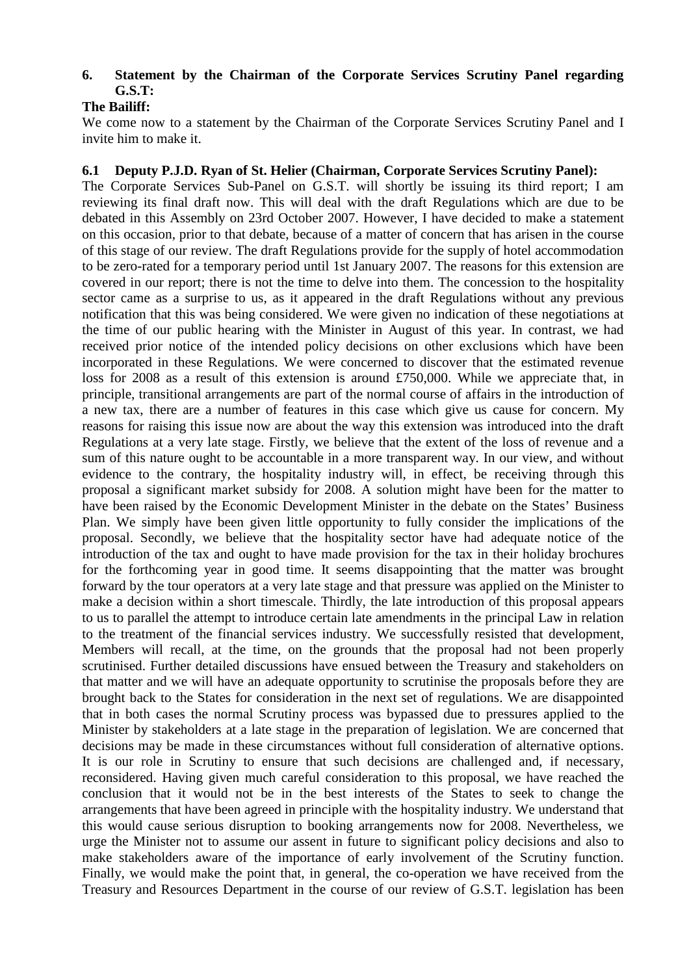# **6. Statement by the Chairman of the Corporate Services Scrutiny Panel regarding G.S.T:**

# **The Bailiff:**

We come now to a statement by the Chairman of the Corporate Services Scrutiny Panel and I invite him to make it.

# **6.1 Deputy P.J.D. Ryan of St. Helier (Chairman, Corporate Services Scrutiny Panel):**

The Corporate Services Sub-Panel on G.S.T. will shortly be issuing its third report; I am reviewing its final draft now. This will deal with the draft Regulations which are due to be debated in this Assembly on 23rd October 2007. However, I have decided to make a statement on this occasion, prior to that debate, because of a matter of concern that has arisen in the course of this stage of our review. The draft Regulations provide for the supply of hotel accommodation to be zero-rated for a temporary period until 1st January 2007. The reasons for this extension are covered in our report; there is not the time to delve into them. The concession to the hospitality sector came as a surprise to us, as it appeared in the draft Regulations without any previous notification that this was being considered. We were given no indication of these negotiations at the time of our public hearing with the Minister in August of this year. In contrast, we had received prior notice of the intended policy decisions on other exclusions which have been incorporated in these Regulations. We were concerned to discover that the estimated revenue loss for 2008 as a result of this extension is around £750,000. While we appreciate that, in principle, transitional arrangements are part of the normal course of affairs in the introduction of a new tax, there are a number of features in this case which give us cause for concern. My reasons for raising this issue now are about the way this extension was introduced into the draft Regulations at a very late stage. Firstly, we believe that the extent of the loss of revenue and a sum of this nature ought to be accountable in a more transparent way. In our view, and without evidence to the contrary, the hospitality industry will, in effect, be receiving through this proposal a significant market subsidy for 2008. A solution might have been for the matter to have been raised by the Economic Development Minister in the debate on the States' Business Plan. We simply have been given little opportunity to fully consider the implications of the proposal. Secondly, we believe that the hospitality sector have had adequate notice of the introduction of the tax and ought to have made provision for the tax in their holiday brochures for the forthcoming year in good time. It seems disappointing that the matter was brought forward by the tour operators at a very late stage and that pressure was applied on the Minister to make a decision within a short timescale. Thirdly, the late introduction of this proposal appears to us to parallel the attempt to introduce certain late amendments in the principal Law in relation to the treatment of the financial services industry. We successfully resisted that development, Members will recall, at the time, on the grounds that the proposal had not been properly scrutinised. Further detailed discussions have ensued between the Treasury and stakeholders on that matter and we will have an adequate opportunity to scrutinise the proposals before they are brought back to the States for consideration in the next set of regulations. We are disappointed that in both cases the normal Scrutiny process was bypassed due to pressures applied to the Minister by stakeholders at a late stage in the preparation of legislation. We are concerned that decisions may be made in these circumstances without full consideration of alternative options. It is our role in Scrutiny to ensure that such decisions are challenged and, if necessary, reconsidered. Having given much careful consideration to this proposal, we have reached the conclusion that it would not be in the best interests of the States to seek to change the arrangements that have been agreed in principle with the hospitality industry. We understand that this would cause serious disruption to booking arrangements now for 2008. Nevertheless, we urge the Minister not to assume our assent in future to significant policy decisions and also to make stakeholders aware of the importance of early involvement of the Scrutiny function. Finally, we would make the point that, in general, the co-operation we have received from the Treasury and Resources Department in the course of our review of G.S.T. legislation has been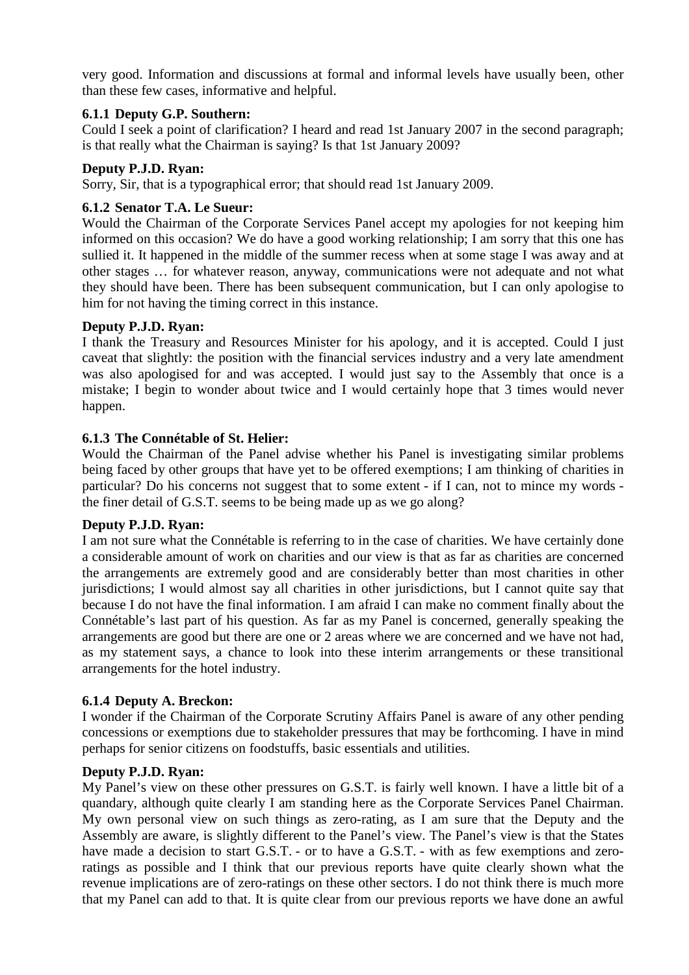very good. Information and discussions at formal and informal levels have usually been, other than these few cases, informative and helpful.

# **6.1.1 Deputy G.P. Southern:**

Could I seek a point of clarification? I heard and read 1st January 2007 in the second paragraph; is that really what the Chairman is saying? Is that 1st January 2009?

# **Deputy P.J.D. Ryan:**

Sorry, Sir, that is a typographical error; that should read 1st January 2009.

# **6.1.2 Senator T.A. Le Sueur:**

Would the Chairman of the Corporate Services Panel accept my apologies for not keeping him informed on this occasion? We do have a good working relationship; I am sorry that this one has sullied it. It happened in the middle of the summer recess when at some stage I was away and at other stages … for whatever reason, anyway, communications were not adequate and not what they should have been. There has been subsequent communication, but I can only apologise to him for not having the timing correct in this instance.

### **Deputy P.J.D. Ryan:**

I thank the Treasury and Resources Minister for his apology, and it is accepted. Could I just caveat that slightly: the position with the financial services industry and a very late amendment was also apologised for and was accepted. I would just say to the Assembly that once is a mistake; I begin to wonder about twice and I would certainly hope that 3 times would never happen.

### **6.1.3 The Connétable of St. Helier:**

Would the Chairman of the Panel advise whether his Panel is investigating similar problems being faced by other groups that have yet to be offered exemptions; I am thinking of charities in particular? Do his concerns not suggest that to some extent - if I can, not to mince my words the finer detail of G.S.T. seems to be being made up as we go along?

#### **Deputy P.J.D. Ryan:**

I am not sure what the Connétable is referring to in the case of charities. We have certainly done a considerable amount of work on charities and our view is that as far as charities are concerned the arrangements are extremely good and are considerably better than most charities in other jurisdictions; I would almost say all charities in other jurisdictions, but I cannot quite say that because I do not have the final information. I am afraid I can make no comment finally about the Connétable's last part of his question. As far as my Panel is concerned, generally speaking the arrangements are good but there are one or 2 areas where we are concerned and we have not had, as my statement says, a chance to look into these interim arrangements or these transitional arrangements for the hotel industry.

#### **6.1.4 Deputy A. Breckon:**

I wonder if the Chairman of the Corporate Scrutiny Affairs Panel is aware of any other pending concessions or exemptions due to stakeholder pressures that may be forthcoming. I have in mind perhaps for senior citizens on foodstuffs, basic essentials and utilities.

#### **Deputy P.J.D. Ryan:**

My Panel's view on these other pressures on G.S.T. is fairly well known. I have a little bit of a quandary, although quite clearly I am standing here as the Corporate Services Panel Chairman. My own personal view on such things as zero-rating, as I am sure that the Deputy and the Assembly are aware, is slightly different to the Panel's view. The Panel's view is that the States have made a decision to start G.S.T. - or to have a G.S.T. - with as few exemptions and zeroratings as possible and I think that our previous reports have quite clearly shown what the revenue implications are of zero-ratings on these other sectors. I do not think there is much more that my Panel can add to that. It is quite clear from our previous reports we have done an awful